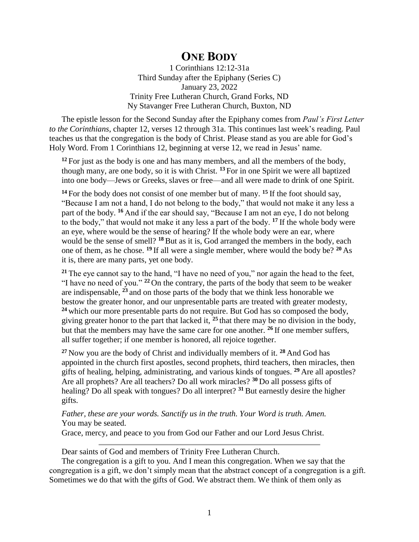## **ONE BODY**

1 Corinthians 12:12-31a Third Sunday after the Epiphany (Series C) January 23, 2022 Trinity Free Lutheran Church, Grand Forks, ND Ny Stavanger Free Lutheran Church, Buxton, ND

The epistle lesson for the Second Sunday after the Epiphany comes from *Paul's First Letter to the Corinthians*, chapter 12, verses 12 through 31a. This continues last week's reading. Paul teaches us that the congregation is the body of Christ. Please stand as you are able for God's Holy Word. From 1 Corinthians 12, beginning at verse 12, we read in Jesus' name.

<sup>12</sup> For just as the body is one and has many members, and all the members of the body, though many, are one body, so it is with Christ. **<sup>13</sup>** For in one Spirit we were all baptized into one body—Jews or Greeks, slaves or free—and all were made to drink of one Spirit.

**<sup>14</sup>** For the body does not consist of one member but of many. **<sup>15</sup>** If the foot should say, "Because I am not a hand, I do not belong to the body," that would not make it any less a part of the body. **<sup>16</sup>** And if the ear should say, "Because I am not an eye, I do not belong to the body," that would not make it any less a part of the body. **<sup>17</sup>** If the whole body were an eye, where would be the sense of hearing? If the whole body were an ear, where would be the sense of smell? **<sup>18</sup>** But as it is, God arranged the members in the body, each one of them, as he chose. **<sup>19</sup>** If all were a single member, where would the body be? **<sup>20</sup>** As it is, there are many parts, yet one body.

**<sup>21</sup>** The eye cannot say to the hand, "I have no need of you," nor again the head to the feet, "I have no need of you." **<sup>22</sup>** On the contrary, the parts of the body that seem to be weaker are indispensable, **<sup>23</sup>** and on those parts of the body that we think less honorable we bestow the greater honor, and our unpresentable parts are treated with greater modesty, **<sup>24</sup>** which our more presentable parts do not require. But God has so composed the body, giving greater honor to the part that lacked it, **<sup>25</sup>** that there may be no division in the body, but that the members may have the same care for one another. **<sup>26</sup>** If one member suffers, all suffer together; if one member is honored, all rejoice together.

**<sup>27</sup>** Now you are the body of Christ and individually members of it. **<sup>28</sup>** And God has appointed in the church first apostles, second prophets, third teachers, then miracles, then gifts of healing, helping, administrating, and various kinds of tongues. **<sup>29</sup>** Are all apostles? Are all prophets? Are all teachers? Do all work miracles? **<sup>30</sup>** Do all possess gifts of healing? Do all speak with tongues? Do all interpret? **<sup>31</sup>** But earnestly desire the higher gifts.

*Father, these are your words. Sanctify us in the truth. Your Word is truth. Amen.* You may be seated.

Grace, mercy, and peace to you from God our Father and our Lord Jesus Christ.

Dear saints of God and members of Trinity Free Lutheran Church.

The congregation is a gift to you. And I mean this congregation. When we say that the congregation is a gift, we don't simply mean that the abstract concept of a congregation is a gift. Sometimes we do that with the gifts of God. We abstract them. We think of them only as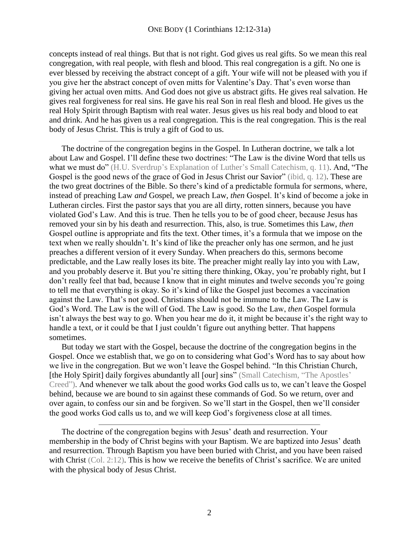concepts instead of real things. But that is not right. God gives us real gifts. So we mean this real congregation, with real people, with flesh and blood. This real congregation is a gift. No one is ever blessed by receiving the abstract concept of a gift. Your wife will not be pleased with you if you give her the abstract concept of oven mitts for Valentine's Day. That's even worse than giving her actual oven mitts. And God does not give us abstract gifts. He gives real salvation. He gives real forgiveness for real sins. He gave his real Son in real flesh and blood. He gives us the real Holy Spirit through Baptism with real water. Jesus gives us his real body and blood to eat and drink. And he has given us a real congregation. This is the real congregation. This is the real body of Jesus Christ. This is truly a gift of God to us.

The doctrine of the congregation begins in the Gospel. In Lutheran doctrine, we talk a lot about Law and Gospel. I'll define these two doctrines: "The Law is the divine Word that tells us what we must do" (H.U. Sverdrup's Explanation of Luther's Small Catechism, q. 11). And, "The Gospel is the good news of the grace of God in Jesus Christ our Savior" (ibid, q. 12). These are the two great doctrines of the Bible. So there's kind of a predictable formula for sermons, where, instead of preaching Law *and* Gospel, we preach Law, *then* Gospel. It's kind of become a joke in Lutheran circles. First the pastor says that you are all dirty, rotten sinners, because you have violated God's Law. And this is true. Then he tells you to be of good cheer, because Jesus has removed your sin by his death and resurrection. This, also, is true. Sometimes this Law, *then* Gospel outline is appropriate and fits the text. Other times, it's a formula that we impose on the text when we really shouldn't. It's kind of like the preacher only has one sermon, and he just preaches a different version of it every Sunday. When preachers do this, sermons become predictable, and the Law really loses its bite. The preacher might really lay into you with Law, and you probably deserve it. But you're sitting there thinking, Okay, you're probably right, but I don't really feel that bad, because I know that in eight minutes and twelve seconds you're going to tell me that everything is okay. So it's kind of like the Gospel just becomes a vaccination against the Law. That's not good. Christians should not be immune to the Law. The Law is God's Word. The Law is the will of God. The Law is good. So the Law, *then* Gospel formula isn't always the best way to go. When you hear me do it, it might be because it's the right way to handle a text, or it could be that I just couldn't figure out anything better. That happens sometimes.

But today we start with the Gospel, because the doctrine of the congregation begins in the Gospel. Once we establish that, we go on to considering what God's Word has to say about how we live in the congregation. But we won't leave the Gospel behind. "In this Christian Church, [the Holy Spirit] daily forgives abundantly all [our] sins" (Small Catechism, "The Apostles' Creed"). And whenever we talk about the good works God calls us to, we can't leave the Gospel behind, because we are bound to sin against these commands of God. So we return, over and over again, to confess our sin and be forgiven. So we'll start in the Gospel, then we'll consider the good works God calls us to, and we will keep God's forgiveness close at all times.

The doctrine of the congregation begins with Jesus' death and resurrection. Your membership in the body of Christ begins with your Baptism. We are baptized into Jesus' death and resurrection. Through Baptism you have been buried with Christ, and you have been raised with Christ (Col. 2:12). This is how we receive the benefits of Christ's sacrifice. We are united with the physical body of Jesus Christ.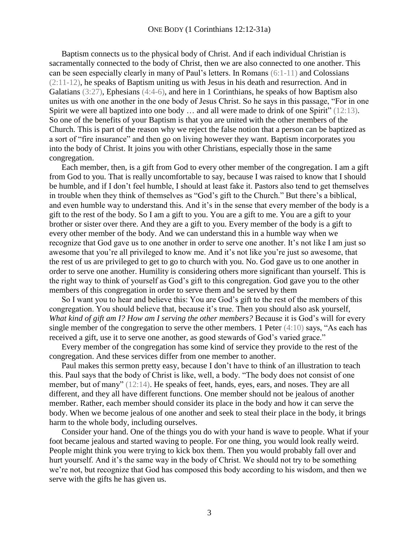Baptism connects us to the physical body of Christ. And if each individual Christian is sacramentally connected to the body of Christ, then we are also connected to one another. This can be seen especially clearly in many of Paul's letters. In Romans (6:1-11) and Colossians (2:11-12), he speaks of Baptism uniting us with Jesus in his death and resurrection. And in Galatians (3:27), Ephesians (4:4-6), and here in 1 Corinthians, he speaks of how Baptism also unites us with one another in the one body of Jesus Christ. So he says in this passage, "For in one Spirit we were all baptized into one body ... and all were made to drink of one Spirit" (12:13). So one of the benefits of your Baptism is that you are united with the other members of the Church. This is part of the reason why we reject the false notion that a person can be baptized as a sort of "fire insurance" and then go on living however they want. Baptism incorporates you into the body of Christ. It joins you with other Christians, especially those in the same congregation.

Each member, then, is a gift from God to every other member of the congregation. I am a gift from God to you. That is really uncomfortable to say, because I was raised to know that I should be humble, and if I don't feel humble, I should at least fake it. Pastors also tend to get themselves in trouble when they think of themselves as "God's gift to the Church." But there's a biblical, and even humble way to understand this. And it's in the sense that every member of the body is a gift to the rest of the body. So I am a gift to you. You are a gift to me. You are a gift to your brother or sister over there. And they are a gift to you. Every member of the body is a gift to every other member of the body. And we can understand this in a humble way when we recognize that God gave us to one another in order to serve one another. It's not like I am just so awesome that you're all privileged to know me. And it's not like you're just so awesome, that the rest of us are privileged to get to go to church with you. No. God gave us to one another in order to serve one another. Humility is considering others more significant than yourself. This is the right way to think of yourself as God's gift to this congregation. God gave you to the other members of this congregation in order to serve them and be served by them

So I want you to hear and believe this: You are God's gift to the rest of the members of this congregation. You should believe that, because it's true. Then you should also ask yourself, *What kind of gift am I? How am I serving the other members?* Because it is God's will for every single member of the congregation to serve the other members. 1 Peter (4:10) says, "As each has received a gift, use it to serve one another, as good stewards of God's varied grace."

Every member of the congregation has some kind of service they provide to the rest of the congregation. And these services differ from one member to another.

Paul makes this sermon pretty easy, because I don't have to think of an illustration to teach this. Paul says that the body of Christ is like, well, a body. "The body does not consist of one member, but of many" (12:14). He speaks of feet, hands, eyes, ears, and noses. They are all different, and they all have different functions. One member should not be jealous of another member. Rather, each member should consider its place in the body and how it can serve the body. When we become jealous of one another and seek to steal their place in the body, it brings harm to the whole body, including ourselves.

Consider your hand. One of the things you do with your hand is wave to people. What if your foot became jealous and started waving to people. For one thing, you would look really weird. People might think you were trying to kick box them. Then you would probably fall over and hurt yourself. And it's the same way in the body of Christ. We should not try to be something we're not, but recognize that God has composed this body according to his wisdom, and then we serve with the gifts he has given us.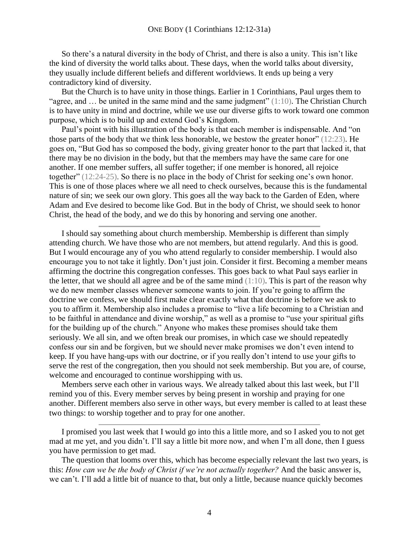So there's a natural diversity in the body of Christ, and there is also a unity. This isn't like the kind of diversity the world talks about. These days, when the world talks about diversity, they usually include different beliefs and different worldviews. It ends up being a very contradictory kind of diversity.

But the Church is to have unity in those things. Earlier in 1 Corinthians, Paul urges them to "agree, and  $\ldots$  be united in the same mind and the same judgment" (1:10). The Christian Church is to have unity in mind and doctrine, while we use our diverse gifts to work toward one common purpose, which is to build up and extend God's Kingdom.

Paul's point with his illustration of the body is that each member is indispensable. And "on those parts of the body that we think less honorable, we bestow the greater honor" (12:23). He goes on, "But God has so composed the body, giving greater honor to the part that lacked it, that there may be no division in the body, but that the members may have the same care for one another. If one member suffers, all suffer together; if one member is honored, all rejoice together" (12:24-25). So there is no place in the body of Christ for seeking one's own honor. This is one of those places where we all need to check ourselves, because this is the fundamental nature of sin; we seek our own glory. This goes all the way back to the Garden of Eden, where Adam and Eve desired to become like God. But in the body of Christ, we should seek to honor Christ, the head of the body, and we do this by honoring and serving one another.

I should say something about church membership. Membership is different than simply attending church. We have those who are not members, but attend regularly. And this is good. But I would encourage any of you who attend regularly to consider membership. I would also encourage you to not take it lightly. Don't just join. Consider it first. Becoming a member means affirming the doctrine this congregation confesses. This goes back to what Paul says earlier in the letter, that we should all agree and be of the same mind  $(1:10)$ . This is part of the reason why we do new member classes whenever someone wants to join. If you're going to affirm the doctrine we confess, we should first make clear exactly what that doctrine is before we ask to you to affirm it. Membership also includes a promise to "live a life becoming to a Christian and to be faithful in attendance and divine worship," as well as a promise to "use your spiritual gifts for the building up of the church." Anyone who makes these promises should take them seriously. We all sin, and we often break our promises, in which case we should repeatedly confess our sin and be forgiven, but we should never make promises we don't even intend to keep. If you have hang-ups with our doctrine, or if you really don't intend to use your gifts to serve the rest of the congregation, then you should not seek membership. But you are, of course, welcome and encouraged to continue worshipping with us.

Members serve each other in various ways. We already talked about this last week, but I'll remind you of this. Every member serves by being present in worship and praying for one another. Different members also serve in other ways, but every member is called to at least these two things: to worship together and to pray for one another.

I promised you last week that I would go into this a little more, and so I asked you to not get mad at me yet, and you didn't. I'll say a little bit more now, and when I'm all done, then I guess you have permission to get mad.

The question that looms over this, which has become especially relevant the last two years, is this: *How can we be the body of Christ if we're not actually together?* And the basic answer is, we can't. I'll add a little bit of nuance to that, but only a little, because nuance quickly becomes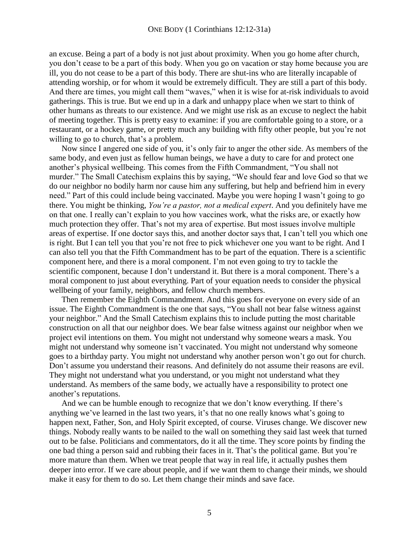an excuse. Being a part of a body is not just about proximity. When you go home after church, you don't cease to be a part of this body. When you go on vacation or stay home because you are ill, you do not cease to be a part of this body. There are shut-ins who are literally incapable of attending worship, or for whom it would be extremely difficult. They are still a part of this body. And there are times, you might call them "waves," when it is wise for at-risk individuals to avoid gatherings. This is true. But we end up in a dark and unhappy place when we start to think of other humans as threats to our existence. And we might use risk as an excuse to neglect the habit of meeting together. This is pretty easy to examine: if you are comfortable going to a store, or a restaurant, or a hockey game, or pretty much any building with fifty other people, but you're not willing to go to church, that's a problem.

Now since I angered one side of you, it's only fair to anger the other side. As members of the same body, and even just as fellow human beings, we have a duty to care for and protect one another's physical wellbeing. This comes from the Fifth Commandment, "You shall not murder." The Small Catechism explains this by saying, "We should fear and love God so that we do our neighbor no bodily harm nor cause him any suffering, but help and befriend him in every need." Part of this could include being vaccinated. Maybe you were hoping I wasn't going to go there. You might be thinking, *You're a pastor, not a medical expert*. And you definitely have me on that one. I really can't explain to you how vaccines work, what the risks are, or exactly how much protection they offer. That's not my area of expertise. But most issues involve multiple areas of expertise. If one doctor says this, and another doctor says that, I can't tell you which one is right. But I can tell you that you're not free to pick whichever one you want to be right. And I can also tell you that the Fifth Commandment has to be part of the equation. There is a scientific component here, and there is a moral component. I'm not even going to try to tackle the scientific component, because I don't understand it. But there is a moral component. There's a moral component to just about everything. Part of your equation needs to consider the physical wellbeing of your family, neighbors, and fellow church members.

Then remember the Eighth Commandment. And this goes for everyone on every side of an issue. The Eighth Commandment is the one that says, "You shall not bear false witness against your neighbor." And the Small Catechism explains this to include putting the most charitable construction on all that our neighbor does. We bear false witness against our neighbor when we project evil intentions on them. You might not understand why someone wears a mask. You might not understand why someone isn't vaccinated. You might not understand why someone goes to a birthday party. You might not understand why another person won't go out for church. Don't assume you understand their reasons. And definitely do not assume their reasons are evil. They might not understand what you understand, or you might not understand what they understand. As members of the same body, we actually have a responsibility to protect one another's reputations.

And we can be humble enough to recognize that we don't know everything. If there's anything we've learned in the last two years, it's that no one really knows what's going to happen next, Father, Son, and Holy Spirit excepted, of course. Viruses change. We discover new things. Nobody really wants to be nailed to the wall on something they said last week that turned out to be false. Politicians and commentators, do it all the time. They score points by finding the one bad thing a person said and rubbing their faces in it. That's the political game. But you're more mature than them. When we treat people that way in real life, it actually pushes them deeper into error. If we care about people, and if we want them to change their minds, we should make it easy for them to do so. Let them change their minds and save face.